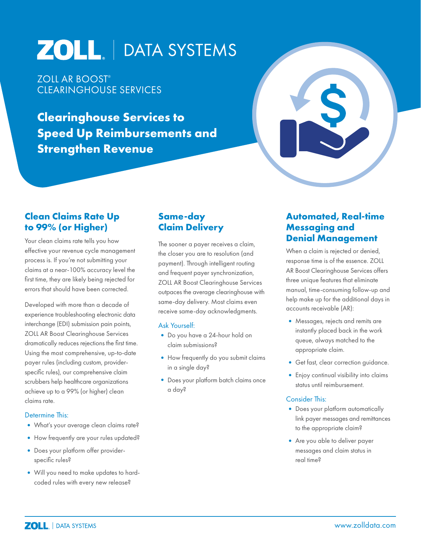# ZOLL. | DATA SYSTEMS

ZOLL AR BOOST® CLEARINGHOUSE SERVICES

**Clearinghouse Services to Speed Up Reimbursements and Strengthen Revenue**



# **Clean Claims Rate Up to 99% (or Higher)**

Your clean claims rate tells you how effective your revenue cycle management process is. If you're not submitting your claims at a near-100% accuracy level the first time, they are likely being rejected for errors that should have been corrected.

Developed with more than a decade of experience troubleshooting electronic data interchange (EDI) submission pain points, ZOLL AR Boost Clearinghouse Services dramatically reduces rejections the first time. Using the most comprehensive, up-to-date payer rules (including custom, providerspecific rules), our comprehensive claim scrubbers help healthcare organizations achieve up to a 99% (or higher) clean claims rate.

#### Determine This:

- •What's your average clean claims rate?
- How frequently are your rules updated?
- •Does your platform offer providerspecific rules?
- •Will you need to make updates to hardcoded rules with every new release?

# **Same-day Claim Delivery**

The sooner a payer receives a claim, the closer you are to resolution (and payment). Through intelligent routing and frequent payer synchronization, ZOLL AR Boost Clearinghouse Services outpaces the average clearinghouse with same-day delivery. Most claims even receive same-day acknowledgments.

#### Ask Yourself:

- •Do you have a 24-hour hold on claim submissions?
- How frequently do you submit claims in a single day?
- Does your platform batch claims once a day?

### **Automated, Real-time Messaging and Denial Management**

When a claim is rejected or denied, response time is of the essence. ZOLL AR Boost Clearinghouse Services offers three unique features that eliminate manual, time-consuming follow-up and help make up for the additional days in accounts receivable (AR):

- Messages, rejects and remits are instantly placed back in the work queue, always matched to the appropriate claim.
- •Get fast, clear correction guidance.
- •Enjoy continual visibility into claims status until reimbursement.

#### Consider This:

- Does your platform automatically link payer messages and remittances to the appropriate claim?
- Are you able to deliver payer messages and claim status in real time?